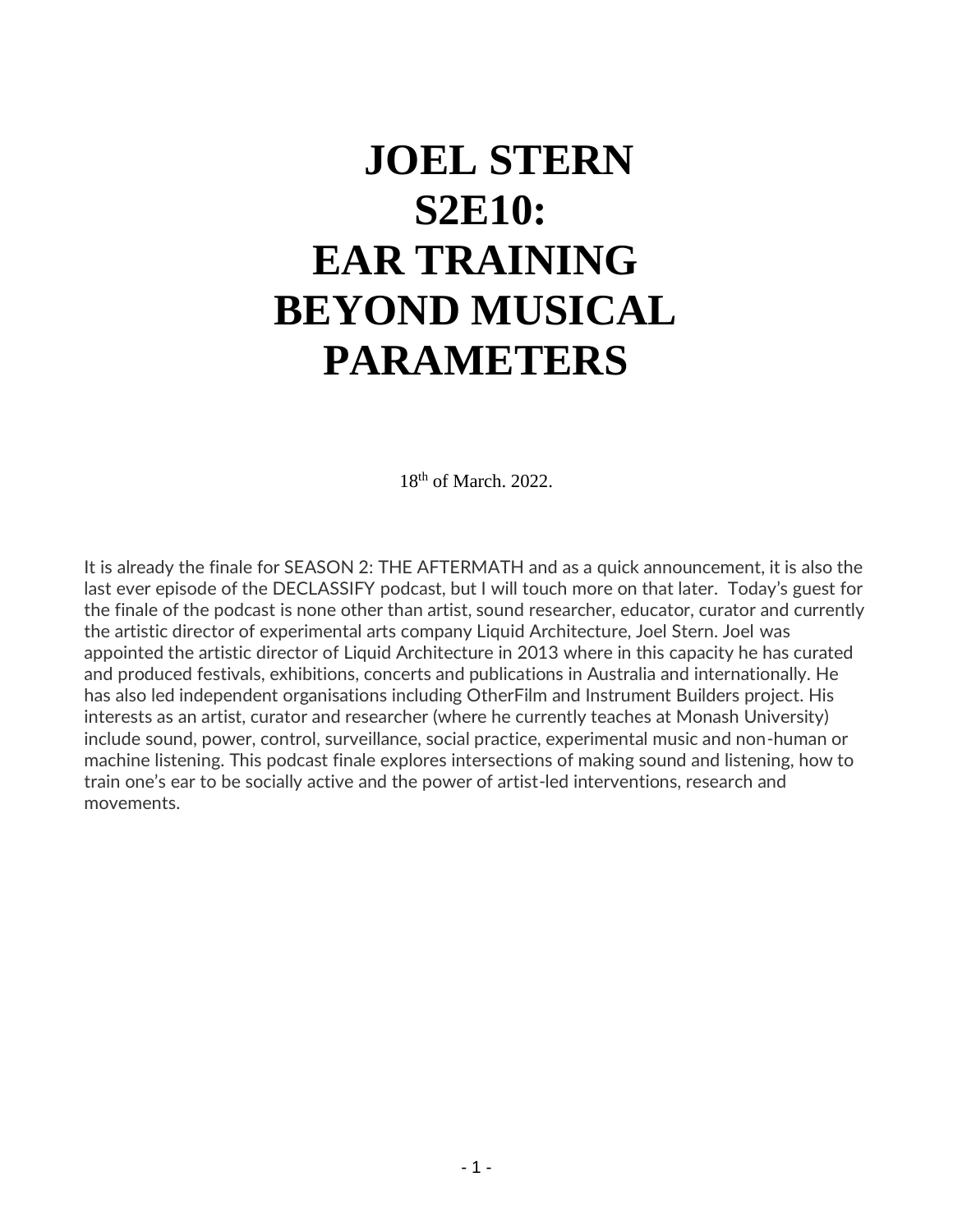# **JOEL STERN S2E10: EAR TRAINING BEYOND MUSICAL PARAMETERS**

18th of March. 2022.

It is already the finale for SEASON 2: THE AFTERMATH and as a quick announcement, it is also the last ever episode of the DECLASSIFY podcast, but I will touch more on that later. Today's guest for the finale of the podcast is none other than artist, sound researcher, educator, curator and currently the artistic director of experimental arts company Liquid Architecture, Joel Stern. Joel was appointed the artistic director of Liquid Architecture in 2013 where in this capacity he has curated and produced festivals, exhibitions, concerts and publications in Australia and internationally. He has also led independent organisations including OtherFilm and Instrument Builders project. His interests as an artist, curator and researcher (where he currently teaches at Monash University) include sound, power, control, surveillance, social practice, experimental music and non-human or machine listening. This podcast finale explores intersections of making sound and listening, how to train one's ear to be socially active and the power of artist-led interventions, research and movements.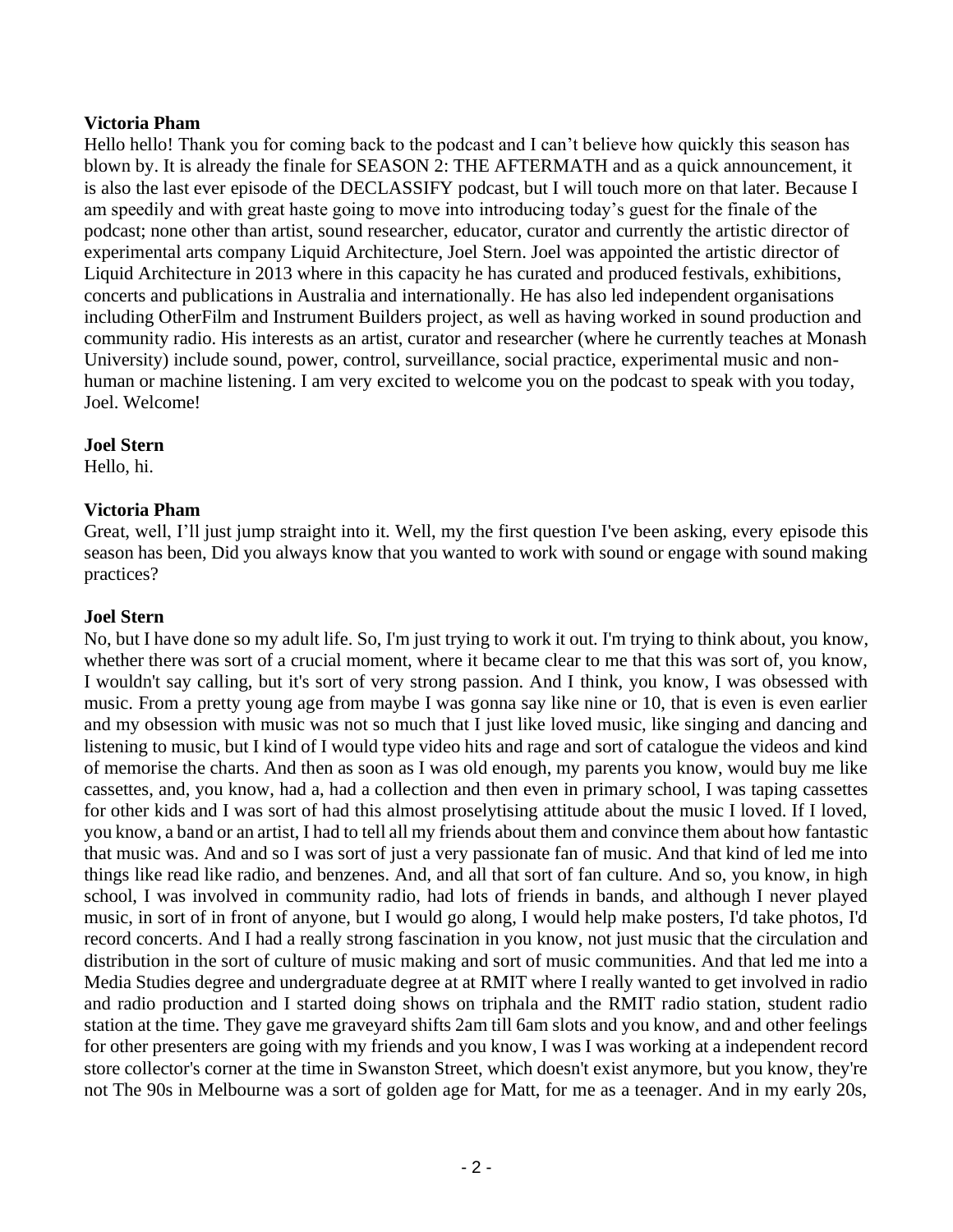## **Victoria Pham**

Hello hello! Thank you for coming back to the podcast and I can't believe how quickly this season has blown by. It is already the finale for SEASON 2: THE AFTERMATH and as a quick announcement, it is also the last ever episode of the DECLASSIFY podcast, but I will touch more on that later. Because I am speedily and with great haste going to move into introducing today's guest for the finale of the podcast; none other than artist, sound researcher, educator, curator and currently the artistic director of experimental arts company Liquid Architecture, Joel Stern. Joel was appointed the artistic director of Liquid Architecture in 2013 where in this capacity he has curated and produced festivals, exhibitions, concerts and publications in Australia and internationally. He has also led independent organisations including OtherFilm and Instrument Builders project, as well as having worked in sound production and community radio. His interests as an artist, curator and researcher (where he currently teaches at Monash University) include sound, power, control, surveillance, social practice, experimental music and nonhuman or machine listening. I am very excited to welcome you on the podcast to speak with you today, Joel. Welcome!

#### **Joel Stern**

Hello, hi.

## **Victoria Pham**

Great, well, I'll just jump straight into it. Well, my the first question I've been asking, every episode this season has been, Did you always know that you wanted to work with sound or engage with sound making practices?

#### **Joel Stern**

No, but I have done so my adult life. So, I'm just trying to work it out. I'm trying to think about, you know, whether there was sort of a crucial moment, where it became clear to me that this was sort of, you know, I wouldn't say calling, but it's sort of very strong passion. And I think, you know, I was obsessed with music. From a pretty young age from maybe I was gonna say like nine or 10, that is even is even earlier and my obsession with music was not so much that I just like loved music, like singing and dancing and listening to music, but I kind of I would type video hits and rage and sort of catalogue the videos and kind of memorise the charts. And then as soon as I was old enough, my parents you know, would buy me like cassettes, and, you know, had a, had a collection and then even in primary school, I was taping cassettes for other kids and I was sort of had this almost proselytising attitude about the music I loved. If I loved, you know, a band or an artist, I had to tell all my friends about them and convince them about how fantastic that music was. And and so I was sort of just a very passionate fan of music. And that kind of led me into things like read like radio, and benzenes. And, and all that sort of fan culture. And so, you know, in high school, I was involved in community radio, had lots of friends in bands, and although I never played music, in sort of in front of anyone, but I would go along, I would help make posters, I'd take photos, I'd record concerts. And I had a really strong fascination in you know, not just music that the circulation and distribution in the sort of culture of music making and sort of music communities. And that led me into a Media Studies degree and undergraduate degree at at RMIT where I really wanted to get involved in radio and radio production and I started doing shows on triphala and the RMIT radio station, student radio station at the time. They gave me graveyard shifts 2am till 6am slots and you know, and and other feelings for other presenters are going with my friends and you know, I was I was working at a independent record store collector's corner at the time in Swanston Street, which doesn't exist anymore, but you know, they're not The 90s in Melbourne was a sort of golden age for Matt, for me as a teenager. And in my early 20s,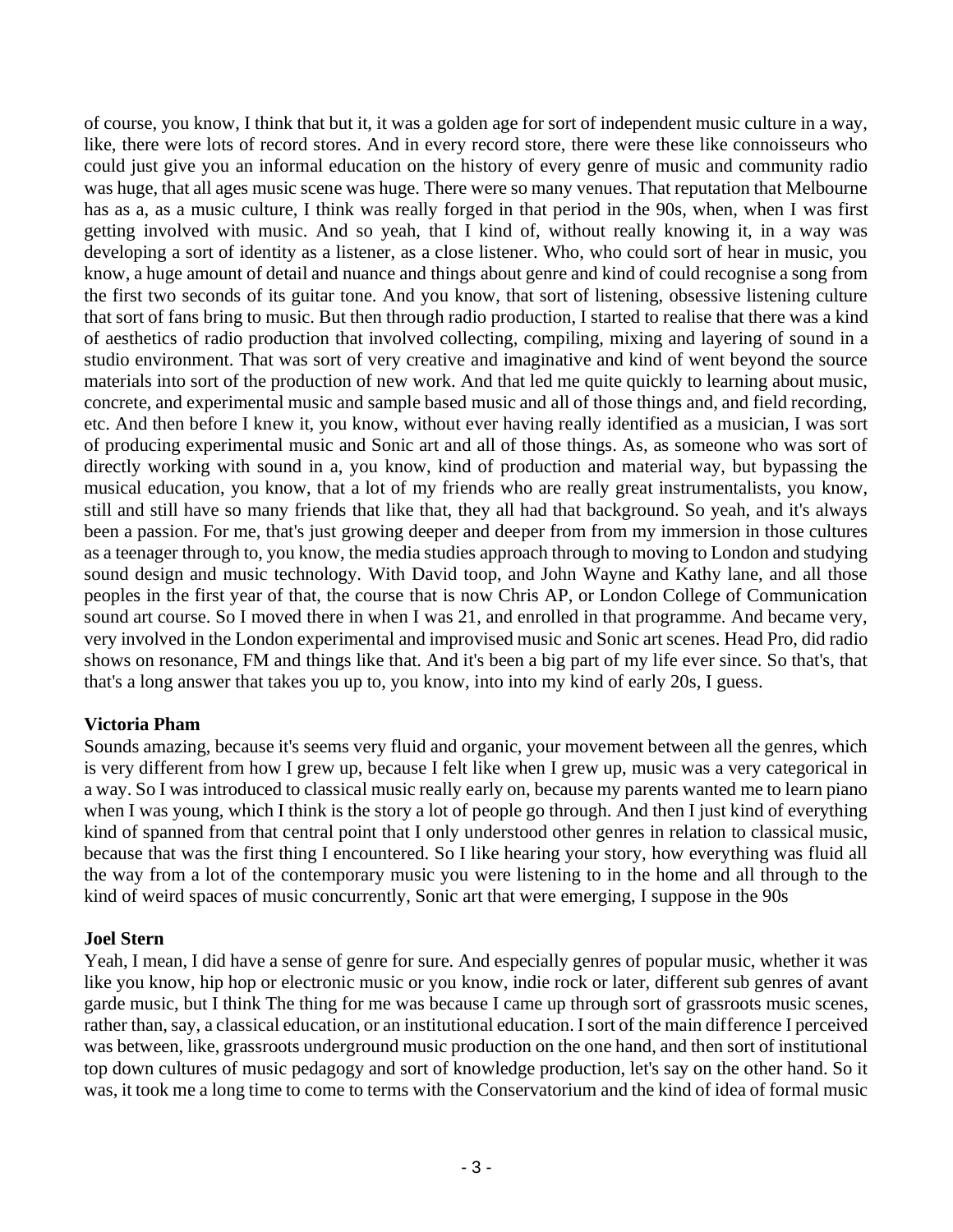of course, you know, I think that but it, it was a golden age for sort of independent music culture in a way, like, there were lots of record stores. And in every record store, there were these like connoisseurs who could just give you an informal education on the history of every genre of music and community radio was huge, that all ages music scene was huge. There were so many venues. That reputation that Melbourne has as a, as a music culture, I think was really forged in that period in the 90s, when, when I was first getting involved with music. And so yeah, that I kind of, without really knowing it, in a way was developing a sort of identity as a listener, as a close listener. Who, who could sort of hear in music, you know, a huge amount of detail and nuance and things about genre and kind of could recognise a song from the first two seconds of its guitar tone. And you know, that sort of listening, obsessive listening culture that sort of fans bring to music. But then through radio production, I started to realise that there was a kind of aesthetics of radio production that involved collecting, compiling, mixing and layering of sound in a studio environment. That was sort of very creative and imaginative and kind of went beyond the source materials into sort of the production of new work. And that led me quite quickly to learning about music, concrete, and experimental music and sample based music and all of those things and, and field recording, etc. And then before I knew it, you know, without ever having really identified as a musician, I was sort of producing experimental music and Sonic art and all of those things. As, as someone who was sort of directly working with sound in a, you know, kind of production and material way, but bypassing the musical education, you know, that a lot of my friends who are really great instrumentalists, you know, still and still have so many friends that like that, they all had that background. So yeah, and it's always been a passion. For me, that's just growing deeper and deeper from from my immersion in those cultures as a teenager through to, you know, the media studies approach through to moving to London and studying sound design and music technology. With David toop, and John Wayne and Kathy lane, and all those peoples in the first year of that, the course that is now Chris AP, or London College of Communication sound art course. So I moved there in when I was 21, and enrolled in that programme. And became very, very involved in the London experimental and improvised music and Sonic art scenes. Head Pro, did radio shows on resonance, FM and things like that. And it's been a big part of my life ever since. So that's, that that's a long answer that takes you up to, you know, into into my kind of early 20s, I guess.

## **Victoria Pham**

Sounds amazing, because it's seems very fluid and organic, your movement between all the genres, which is very different from how I grew up, because I felt like when I grew up, music was a very categorical in a way. So I was introduced to classical music really early on, because my parents wanted me to learn piano when I was young, which I think is the story a lot of people go through. And then I just kind of everything kind of spanned from that central point that I only understood other genres in relation to classical music, because that was the first thing I encountered. So I like hearing your story, how everything was fluid all the way from a lot of the contemporary music you were listening to in the home and all through to the kind of weird spaces of music concurrently, Sonic art that were emerging, I suppose in the 90s

#### **Joel Stern**

Yeah, I mean, I did have a sense of genre for sure. And especially genres of popular music, whether it was like you know, hip hop or electronic music or you know, indie rock or later, different sub genres of avant garde music, but I think The thing for me was because I came up through sort of grassroots music scenes, rather than, say, a classical education, or an institutional education. I sort of the main difference I perceived was between, like, grassroots underground music production on the one hand, and then sort of institutional top down cultures of music pedagogy and sort of knowledge production, let's say on the other hand. So it was, it took me a long time to come to terms with the Conservatorium and the kind of idea of formal music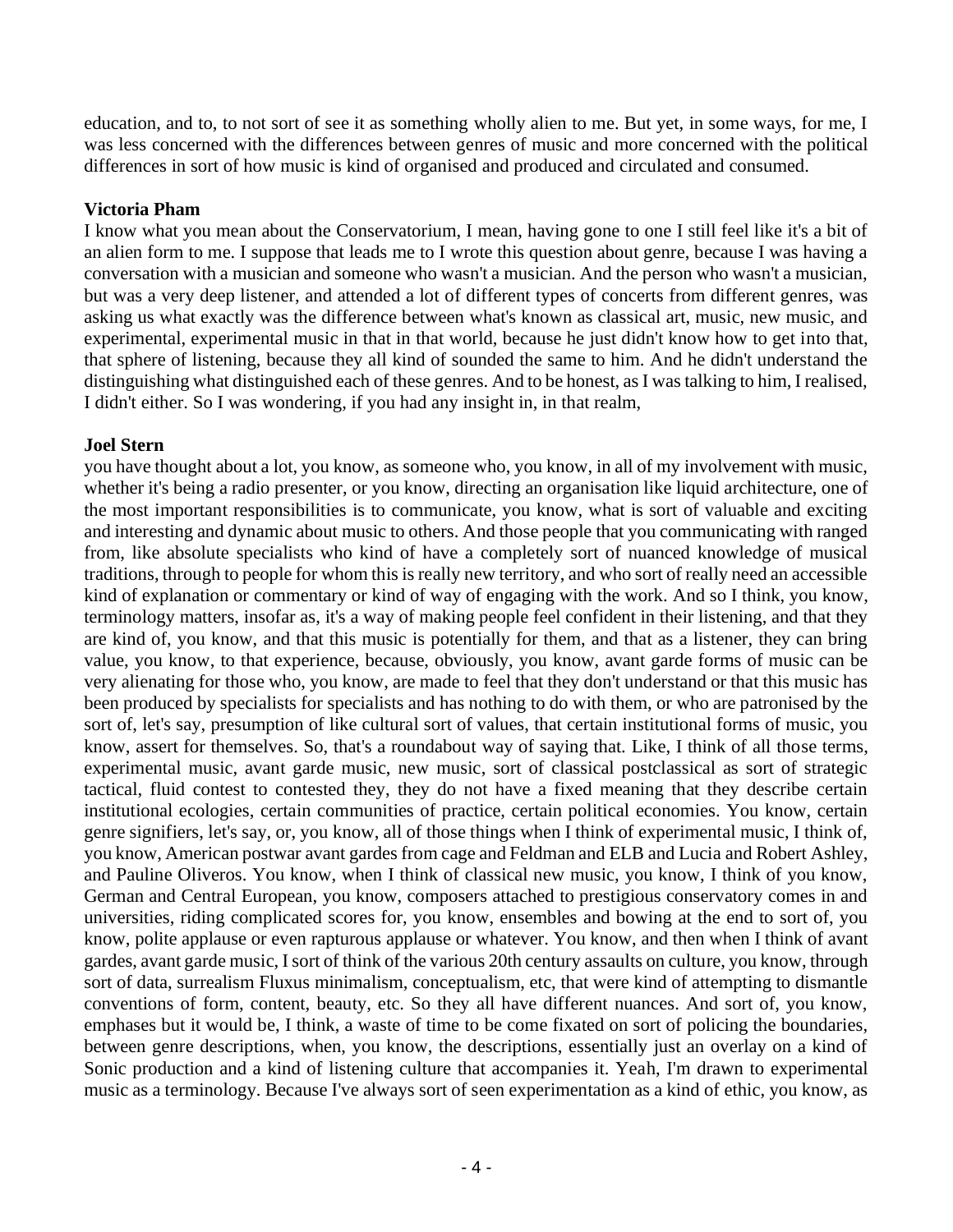education, and to, to not sort of see it as something wholly alien to me. But yet, in some ways, for me, I was less concerned with the differences between genres of music and more concerned with the political differences in sort of how music is kind of organised and produced and circulated and consumed.

## **Victoria Pham**

I know what you mean about the Conservatorium, I mean, having gone to one I still feel like it's a bit of an alien form to me. I suppose that leads me to I wrote this question about genre, because I was having a conversation with a musician and someone who wasn't a musician. And the person who wasn't a musician, but was a very deep listener, and attended a lot of different types of concerts from different genres, was asking us what exactly was the difference between what's known as classical art, music, new music, and experimental, experimental music in that in that world, because he just didn't know how to get into that, that sphere of listening, because they all kind of sounded the same to him. And he didn't understand the distinguishing what distinguished each of these genres. And to be honest, as I was talking to him, I realised, I didn't either. So I was wondering, if you had any insight in, in that realm,

## **Joel Stern**

you have thought about a lot, you know, as someone who, you know, in all of my involvement with music, whether it's being a radio presenter, or you know, directing an organisation like liquid architecture, one of the most important responsibilities is to communicate, you know, what is sort of valuable and exciting and interesting and dynamic about music to others. And those people that you communicating with ranged from, like absolute specialists who kind of have a completely sort of nuanced knowledge of musical traditions, through to people for whom this is really new territory, and who sort of really need an accessible kind of explanation or commentary or kind of way of engaging with the work. And so I think, you know, terminology matters, insofar as, it's a way of making people feel confident in their listening, and that they are kind of, you know, and that this music is potentially for them, and that as a listener, they can bring value, you know, to that experience, because, obviously, you know, avant garde forms of music can be very alienating for those who, you know, are made to feel that they don't understand or that this music has been produced by specialists for specialists and has nothing to do with them, or who are patronised by the sort of, let's say, presumption of like cultural sort of values, that certain institutional forms of music, you know, assert for themselves. So, that's a roundabout way of saying that. Like, I think of all those terms, experimental music, avant garde music, new music, sort of classical postclassical as sort of strategic tactical, fluid contest to contested they, they do not have a fixed meaning that they describe certain institutional ecologies, certain communities of practice, certain political economies. You know, certain genre signifiers, let's say, or, you know, all of those things when I think of experimental music, I think of, you know, American postwar avant gardes from cage and Feldman and ELB and Lucia and Robert Ashley, and Pauline Oliveros. You know, when I think of classical new music, you know, I think of you know, German and Central European, you know, composers attached to prestigious conservatory comes in and universities, riding complicated scores for, you know, ensembles and bowing at the end to sort of, you know, polite applause or even rapturous applause or whatever. You know, and then when I think of avant gardes, avant garde music, I sort of think of the various 20th century assaults on culture, you know, through sort of data, surrealism Fluxus minimalism, conceptualism, etc, that were kind of attempting to dismantle conventions of form, content, beauty, etc. So they all have different nuances. And sort of, you know, emphases but it would be, I think, a waste of time to be come fixated on sort of policing the boundaries, between genre descriptions, when, you know, the descriptions, essentially just an overlay on a kind of Sonic production and a kind of listening culture that accompanies it. Yeah, I'm drawn to experimental music as a terminology. Because I've always sort of seen experimentation as a kind of ethic, you know, as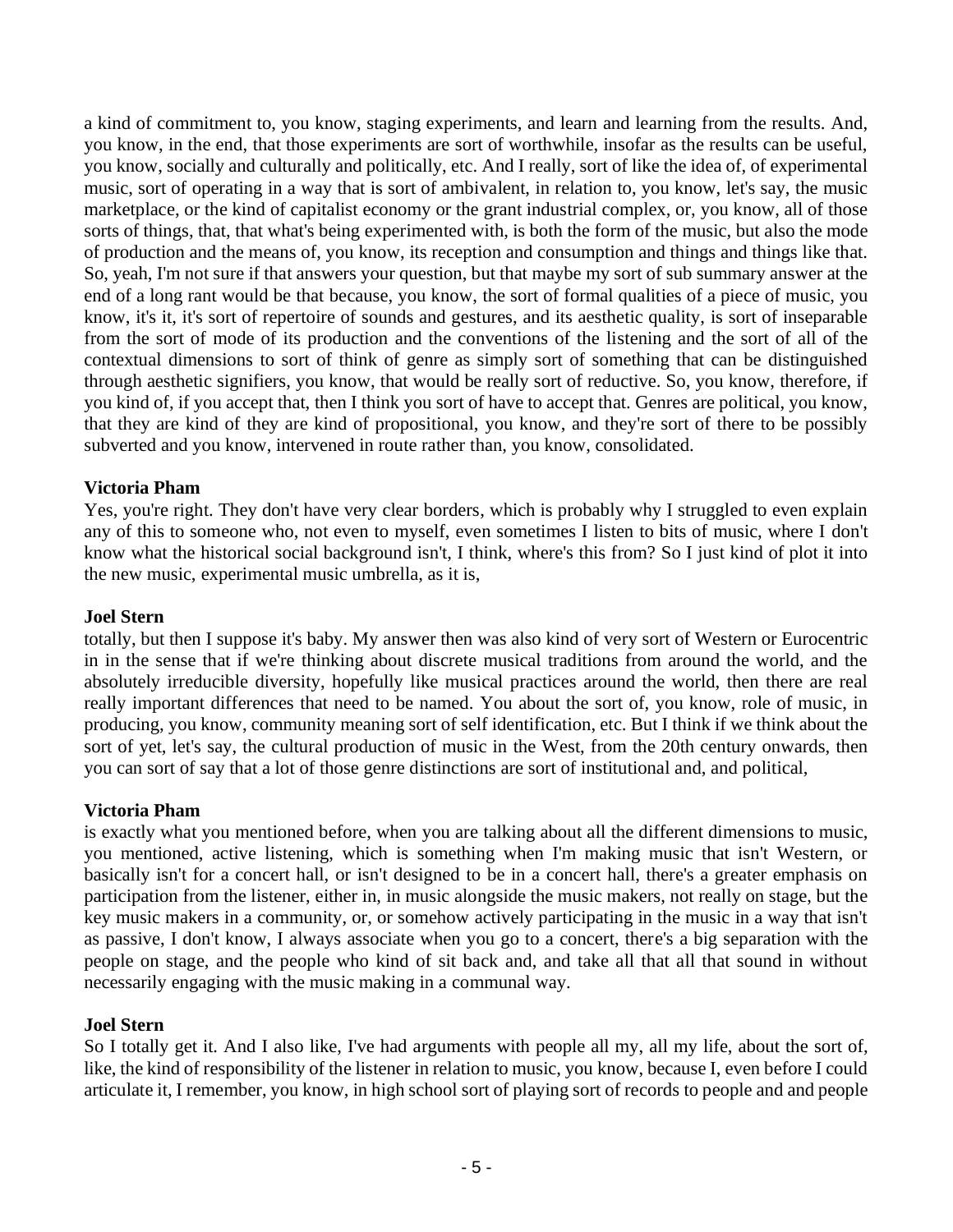a kind of commitment to, you know, staging experiments, and learn and learning from the results. And, you know, in the end, that those experiments are sort of worthwhile, insofar as the results can be useful, you know, socially and culturally and politically, etc. And I really, sort of like the idea of, of experimental music, sort of operating in a way that is sort of ambivalent, in relation to, you know, let's say, the music marketplace, or the kind of capitalist economy or the grant industrial complex, or, you know, all of those sorts of things, that, that what's being experimented with, is both the form of the music, but also the mode of production and the means of, you know, its reception and consumption and things and things like that. So, yeah, I'm not sure if that answers your question, but that maybe my sort of sub summary answer at the end of a long rant would be that because, you know, the sort of formal qualities of a piece of music, you know, it's it, it's sort of repertoire of sounds and gestures, and its aesthetic quality, is sort of inseparable from the sort of mode of its production and the conventions of the listening and the sort of all of the contextual dimensions to sort of think of genre as simply sort of something that can be distinguished through aesthetic signifiers, you know, that would be really sort of reductive. So, you know, therefore, if you kind of, if you accept that, then I think you sort of have to accept that. Genres are political, you know, that they are kind of they are kind of propositional, you know, and they're sort of there to be possibly subverted and you know, intervened in route rather than, you know, consolidated.

## **Victoria Pham**

Yes, you're right. They don't have very clear borders, which is probably why I struggled to even explain any of this to someone who, not even to myself, even sometimes I listen to bits of music, where I don't know what the historical social background isn't, I think, where's this from? So I just kind of plot it into the new music, experimental music umbrella, as it is,

#### **Joel Stern**

totally, but then I suppose it's baby. My answer then was also kind of very sort of Western or Eurocentric in in the sense that if we're thinking about discrete musical traditions from around the world, and the absolutely irreducible diversity, hopefully like musical practices around the world, then there are real really important differences that need to be named. You about the sort of, you know, role of music, in producing, you know, community meaning sort of self identification, etc. But I think if we think about the sort of yet, let's say, the cultural production of music in the West, from the 20th century onwards, then you can sort of say that a lot of those genre distinctions are sort of institutional and, and political,

#### **Victoria Pham**

is exactly what you mentioned before, when you are talking about all the different dimensions to music, you mentioned, active listening, which is something when I'm making music that isn't Western, or basically isn't for a concert hall, or isn't designed to be in a concert hall, there's a greater emphasis on participation from the listener, either in, in music alongside the music makers, not really on stage, but the key music makers in a community, or, or somehow actively participating in the music in a way that isn't as passive, I don't know, I always associate when you go to a concert, there's a big separation with the people on stage, and the people who kind of sit back and, and take all that all that sound in without necessarily engaging with the music making in a communal way.

#### **Joel Stern**

So I totally get it. And I also like, I've had arguments with people all my, all my life, about the sort of, like, the kind of responsibility of the listener in relation to music, you know, because I, even before I could articulate it, I remember, you know, in high school sort of playing sort of records to people and and people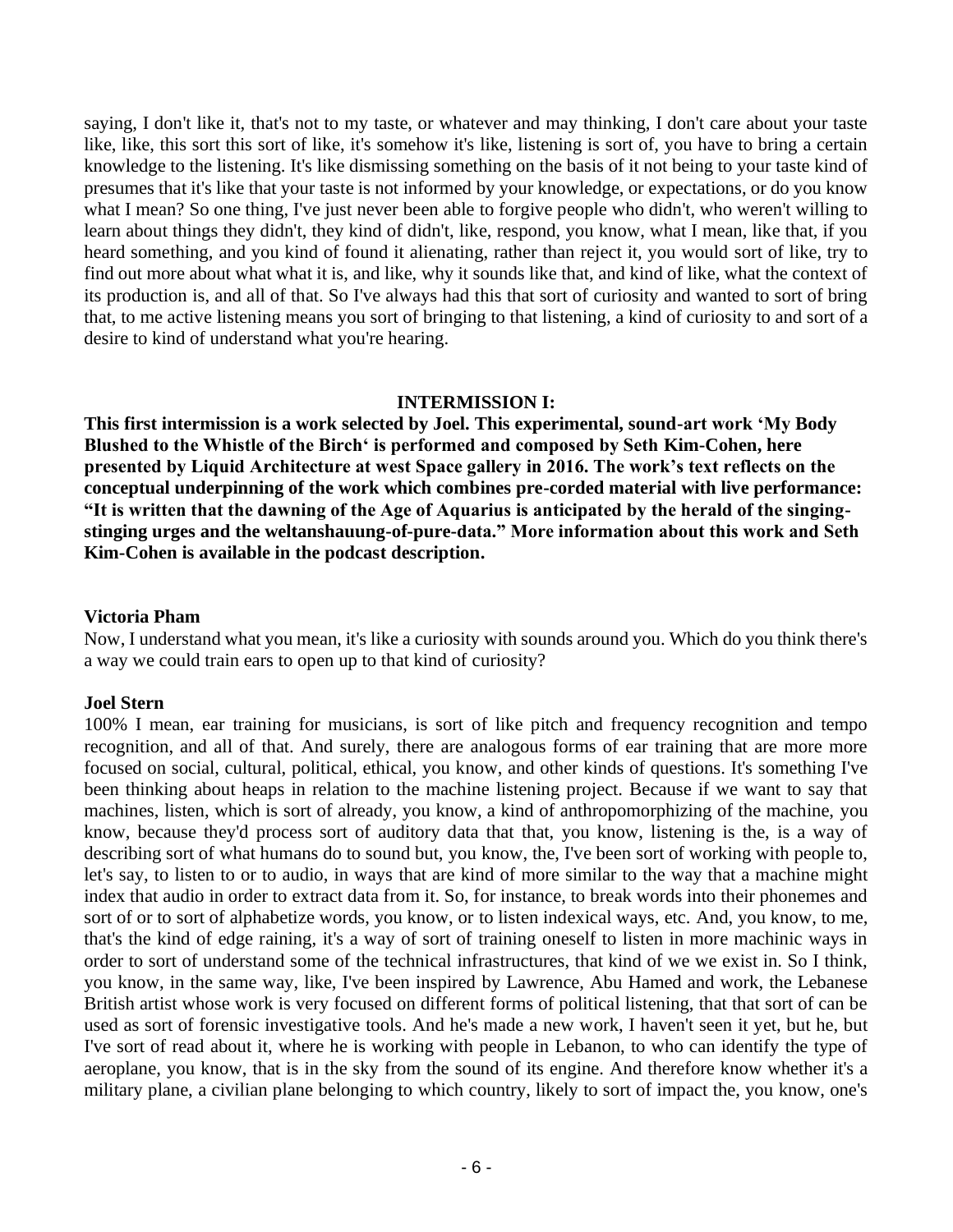saying, I don't like it, that's not to my taste, or whatever and may thinking, I don't care about your taste like, like, this sort this sort of like, it's somehow it's like, listening is sort of, you have to bring a certain knowledge to the listening. It's like dismissing something on the basis of it not being to your taste kind of presumes that it's like that your taste is not informed by your knowledge, or expectations, or do you know what I mean? So one thing, I've just never been able to forgive people who didn't, who weren't willing to learn about things they didn't, they kind of didn't, like, respond, you know, what I mean, like that, if you heard something, and you kind of found it alienating, rather than reject it, you would sort of like, try to find out more about what what it is, and like, why it sounds like that, and kind of like, what the context of its production is, and all of that. So I've always had this that sort of curiosity and wanted to sort of bring that, to me active listening means you sort of bringing to that listening, a kind of curiosity to and sort of a desire to kind of understand what you're hearing.

#### **INTERMISSION I:**

**This first intermission is a work selected by Joel. This experimental, sound-art work 'My Body Blushed to the Whistle of the Birch' is performed and composed by Seth Kim-Cohen, here presented by Liquid Architecture at west Space gallery in 2016. The work's text reflects on the conceptual underpinning of the work which combines pre-corded material with live performance: "It is written that the dawning of the Age of Aquarius is anticipated by the herald of the singingstinging urges and the weltanshauung-of-pure-data." More information about this work and Seth Kim-Cohen is available in the podcast description.** 

#### **Victoria Pham**

Now, I understand what you mean, it's like a curiosity with sounds around you. Which do you think there's a way we could train ears to open up to that kind of curiosity?

#### **Joel Stern**

100% I mean, ear training for musicians, is sort of like pitch and frequency recognition and tempo recognition, and all of that. And surely, there are analogous forms of ear training that are more more focused on social, cultural, political, ethical, you know, and other kinds of questions. It's something I've been thinking about heaps in relation to the machine listening project. Because if we want to say that machines, listen, which is sort of already, you know, a kind of anthropomorphizing of the machine, you know, because they'd process sort of auditory data that that, you know, listening is the, is a way of describing sort of what humans do to sound but, you know, the, I've been sort of working with people to, let's say, to listen to or to audio, in ways that are kind of more similar to the way that a machine might index that audio in order to extract data from it. So, for instance, to break words into their phonemes and sort of or to sort of alphabetize words, you know, or to listen indexical ways, etc. And, you know, to me, that's the kind of edge raining, it's a way of sort of training oneself to listen in more machinic ways in order to sort of understand some of the technical infrastructures, that kind of we we exist in. So I think, you know, in the same way, like, I've been inspired by Lawrence, Abu Hamed and work, the Lebanese British artist whose work is very focused on different forms of political listening, that that sort of can be used as sort of forensic investigative tools. And he's made a new work, I haven't seen it yet, but he, but I've sort of read about it, where he is working with people in Lebanon, to who can identify the type of aeroplane, you know, that is in the sky from the sound of its engine. And therefore know whether it's a military plane, a civilian plane belonging to which country, likely to sort of impact the, you know, one's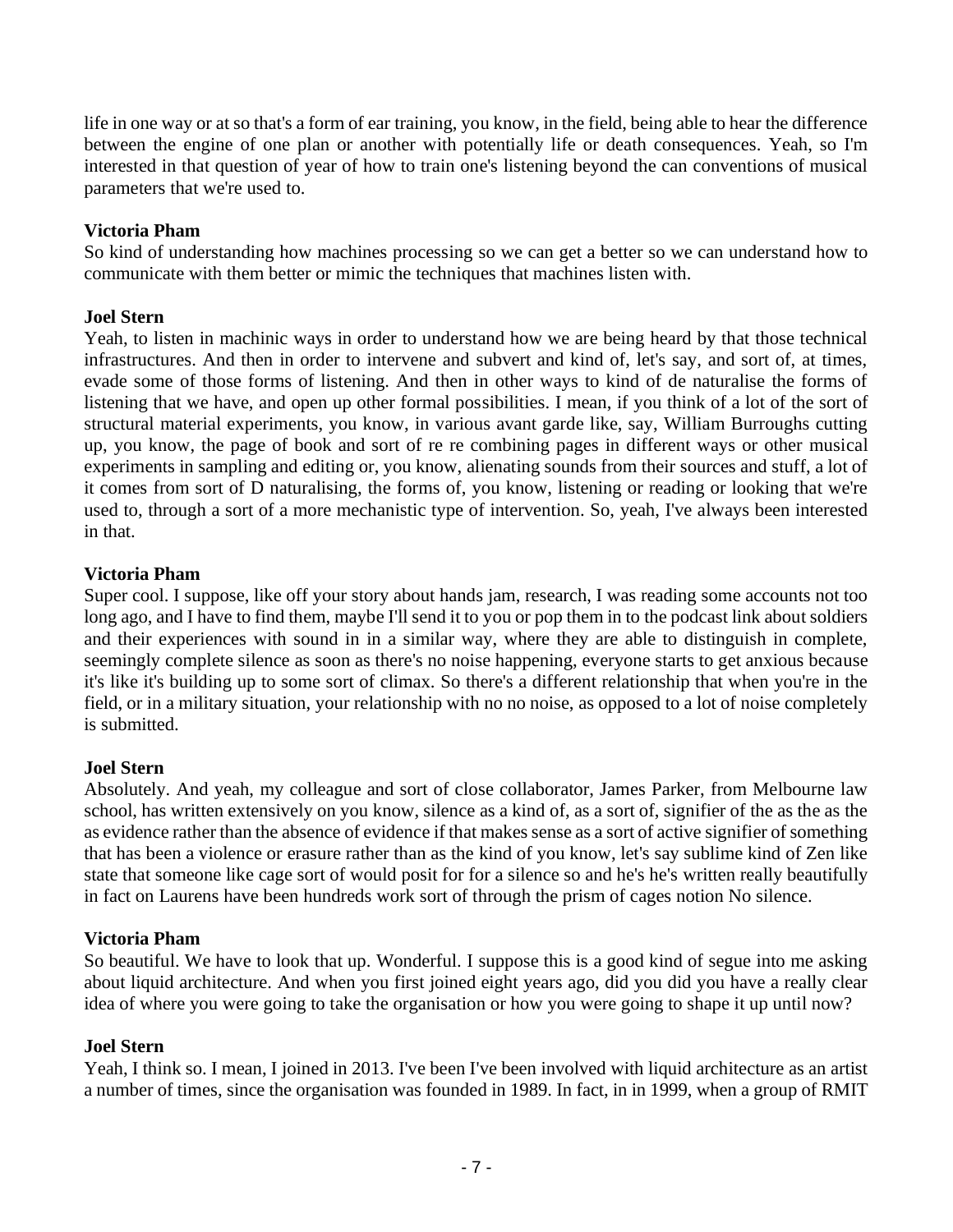life in one way or at so that's a form of ear training, you know, in the field, being able to hear the difference between the engine of one plan or another with potentially life or death consequences. Yeah, so I'm interested in that question of year of how to train one's listening beyond the can conventions of musical parameters that we're used to.

## **Victoria Pham**

So kind of understanding how machines processing so we can get a better so we can understand how to communicate with them better or mimic the techniques that machines listen with.

## **Joel Stern**

Yeah, to listen in machinic ways in order to understand how we are being heard by that those technical infrastructures. And then in order to intervene and subvert and kind of, let's say, and sort of, at times, evade some of those forms of listening. And then in other ways to kind of de naturalise the forms of listening that we have, and open up other formal possibilities. I mean, if you think of a lot of the sort of structural material experiments, you know, in various avant garde like, say, William Burroughs cutting up, you know, the page of book and sort of re re combining pages in different ways or other musical experiments in sampling and editing or, you know, alienating sounds from their sources and stuff, a lot of it comes from sort of D naturalising, the forms of, you know, listening or reading or looking that we're used to, through a sort of a more mechanistic type of intervention. So, yeah, I've always been interested in that.

## **Victoria Pham**

Super cool. I suppose, like off your story about hands jam, research, I was reading some accounts not too long ago, and I have to find them, maybe I'll send it to you or pop them in to the podcast link about soldiers and their experiences with sound in in a similar way, where they are able to distinguish in complete, seemingly complete silence as soon as there's no noise happening, everyone starts to get anxious because it's like it's building up to some sort of climax. So there's a different relationship that when you're in the field, or in a military situation, your relationship with no no noise, as opposed to a lot of noise completely is submitted.

## **Joel Stern**

Absolutely. And yeah, my colleague and sort of close collaborator, James Parker, from Melbourne law school, has written extensively on you know, silence as a kind of, as a sort of, signifier of the as the as the as evidence rather than the absence of evidence if that makes sense as a sort of active signifier of something that has been a violence or erasure rather than as the kind of you know, let's say sublime kind of Zen like state that someone like cage sort of would posit for for a silence so and he's he's written really beautifully in fact on Laurens have been hundreds work sort of through the prism of cages notion No silence.

#### **Victoria Pham**

So beautiful. We have to look that up. Wonderful. I suppose this is a good kind of segue into me asking about liquid architecture. And when you first joined eight years ago, did you did you have a really clear idea of where you were going to take the organisation or how you were going to shape it up until now?

#### **Joel Stern**

Yeah, I think so. I mean, I joined in 2013. I've been I've been involved with liquid architecture as an artist a number of times, since the organisation was founded in 1989. In fact, in in 1999, when a group of RMIT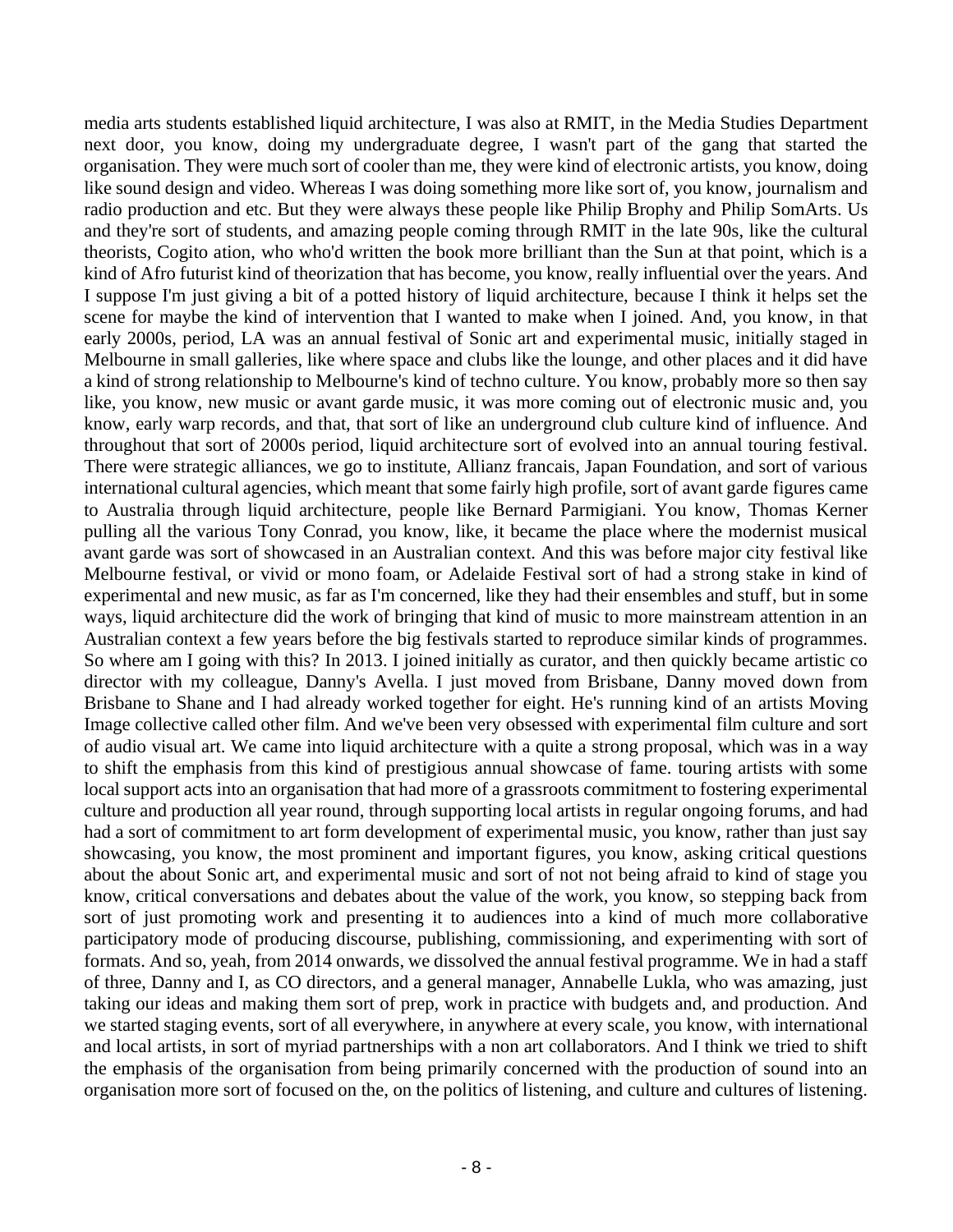media arts students established liquid architecture, I was also at RMIT, in the Media Studies Department next door, you know, doing my undergraduate degree, I wasn't part of the gang that started the organisation. They were much sort of cooler than me, they were kind of electronic artists, you know, doing like sound design and video. Whereas I was doing something more like sort of, you know, journalism and radio production and etc. But they were always these people like Philip Brophy and Philip SomArts. Us and they're sort of students, and amazing people coming through RMIT in the late 90s, like the cultural theorists, Cogito ation, who who'd written the book more brilliant than the Sun at that point, which is a kind of Afro futurist kind of theorization that has become, you know, really influential over the years. And I suppose I'm just giving a bit of a potted history of liquid architecture, because I think it helps set the scene for maybe the kind of intervention that I wanted to make when I joined. And, you know, in that early 2000s, period, LA was an annual festival of Sonic art and experimental music, initially staged in Melbourne in small galleries, like where space and clubs like the lounge, and other places and it did have a kind of strong relationship to Melbourne's kind of techno culture. You know, probably more so then say like, you know, new music or avant garde music, it was more coming out of electronic music and, you know, early warp records, and that, that sort of like an underground club culture kind of influence. And throughout that sort of 2000s period, liquid architecture sort of evolved into an annual touring festival. There were strategic alliances, we go to institute, Allianz francais, Japan Foundation, and sort of various international cultural agencies, which meant that some fairly high profile, sort of avant garde figures came to Australia through liquid architecture, people like Bernard Parmigiani. You know, Thomas Kerner pulling all the various Tony Conrad, you know, like, it became the place where the modernist musical avant garde was sort of showcased in an Australian context. And this was before major city festival like Melbourne festival, or vivid or mono foam, or Adelaide Festival sort of had a strong stake in kind of experimental and new music, as far as I'm concerned, like they had their ensembles and stuff, but in some ways, liquid architecture did the work of bringing that kind of music to more mainstream attention in an Australian context a few years before the big festivals started to reproduce similar kinds of programmes. So where am I going with this? In 2013. I joined initially as curator, and then quickly became artistic co director with my colleague, Danny's Avella. I just moved from Brisbane, Danny moved down from Brisbane to Shane and I had already worked together for eight. He's running kind of an artists Moving Image collective called other film. And we've been very obsessed with experimental film culture and sort of audio visual art. We came into liquid architecture with a quite a strong proposal, which was in a way to shift the emphasis from this kind of prestigious annual showcase of fame. touring artists with some local support acts into an organisation that had more of a grassroots commitment to fostering experimental culture and production all year round, through supporting local artists in regular ongoing forums, and had had a sort of commitment to art form development of experimental music, you know, rather than just say showcasing, you know, the most prominent and important figures, you know, asking critical questions about the about Sonic art, and experimental music and sort of not not being afraid to kind of stage you know, critical conversations and debates about the value of the work, you know, so stepping back from sort of just promoting work and presenting it to audiences into a kind of much more collaborative participatory mode of producing discourse, publishing, commissioning, and experimenting with sort of formats. And so, yeah, from 2014 onwards, we dissolved the annual festival programme. We in had a staff of three, Danny and I, as CO directors, and a general manager, Annabelle Lukla, who was amazing, just taking our ideas and making them sort of prep, work in practice with budgets and, and production. And we started staging events, sort of all everywhere, in anywhere at every scale, you know, with international and local artists, in sort of myriad partnerships with a non art collaborators. And I think we tried to shift the emphasis of the organisation from being primarily concerned with the production of sound into an organisation more sort of focused on the, on the politics of listening, and culture and cultures of listening.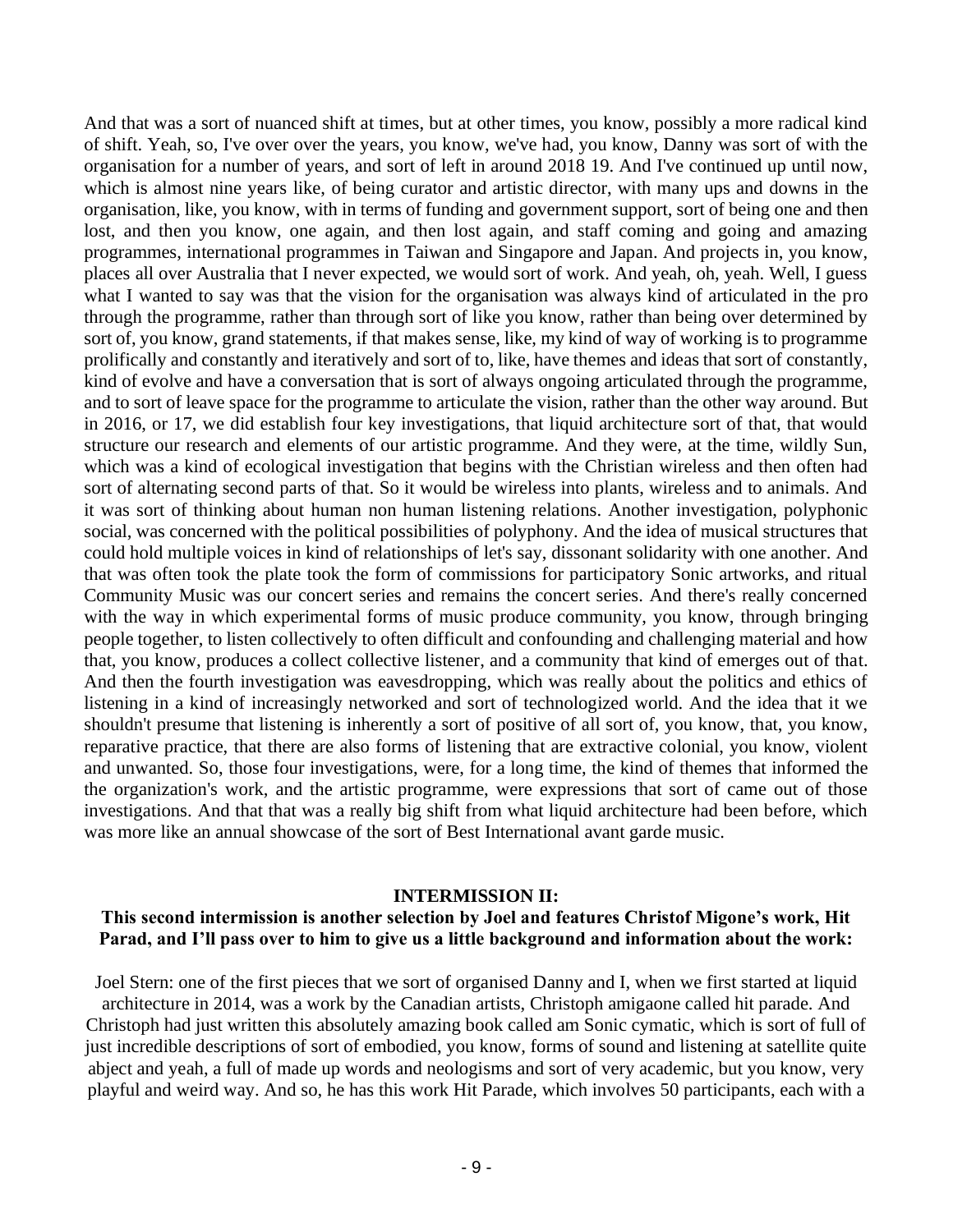And that was a sort of nuanced shift at times, but at other times, you know, possibly a more radical kind of shift. Yeah, so, I've over over the years, you know, we've had, you know, Danny was sort of with the organisation for a number of years, and sort of left in around 2018 19. And I've continued up until now, which is almost nine years like, of being curator and artistic director, with many ups and downs in the organisation, like, you know, with in terms of funding and government support, sort of being one and then lost, and then you know, one again, and then lost again, and staff coming and going and amazing programmes, international programmes in Taiwan and Singapore and Japan. And projects in, you know, places all over Australia that I never expected, we would sort of work. And yeah, oh, yeah. Well, I guess what I wanted to say was that the vision for the organisation was always kind of articulated in the pro through the programme, rather than through sort of like you know, rather than being over determined by sort of, you know, grand statements, if that makes sense, like, my kind of way of working is to programme prolifically and constantly and iteratively and sort of to, like, have themes and ideas that sort of constantly, kind of evolve and have a conversation that is sort of always ongoing articulated through the programme, and to sort of leave space for the programme to articulate the vision, rather than the other way around. But in 2016, or 17, we did establish four key investigations, that liquid architecture sort of that, that would structure our research and elements of our artistic programme. And they were, at the time, wildly Sun, which was a kind of ecological investigation that begins with the Christian wireless and then often had sort of alternating second parts of that. So it would be wireless into plants, wireless and to animals. And it was sort of thinking about human non human listening relations. Another investigation, polyphonic social, was concerned with the political possibilities of polyphony. And the idea of musical structures that could hold multiple voices in kind of relationships of let's say, dissonant solidarity with one another. And that was often took the plate took the form of commissions for participatory Sonic artworks, and ritual Community Music was our concert series and remains the concert series. And there's really concerned with the way in which experimental forms of music produce community, you know, through bringing people together, to listen collectively to often difficult and confounding and challenging material and how that, you know, produces a collect collective listener, and a community that kind of emerges out of that. And then the fourth investigation was eavesdropping, which was really about the politics and ethics of listening in a kind of increasingly networked and sort of technologized world. And the idea that it we shouldn't presume that listening is inherently a sort of positive of all sort of, you know, that, you know, reparative practice, that there are also forms of listening that are extractive colonial, you know, violent and unwanted. So, those four investigations, were, for a long time, the kind of themes that informed the the organization's work, and the artistic programme, were expressions that sort of came out of those investigations. And that that was a really big shift from what liquid architecture had been before, which was more like an annual showcase of the sort of Best International avant garde music.

#### **INTERMISSION II:**

#### **This second intermission is another selection by Joel and features Christof Migone's work, Hit Parad, and I'll pass over to him to give us a little background and information about the work:**

Joel Stern: one of the first pieces that we sort of organised Danny and I, when we first started at liquid

architecture in 2014, was a work by the Canadian artists, Christoph amigaone called hit parade. And Christoph had just written this absolutely amazing book called am Sonic cymatic, which is sort of full of just incredible descriptions of sort of embodied, you know, forms of sound and listening at satellite quite abject and yeah, a full of made up words and neologisms and sort of very academic, but you know, very playful and weird way. And so, he has this work Hit Parade, which involves 50 participants, each with a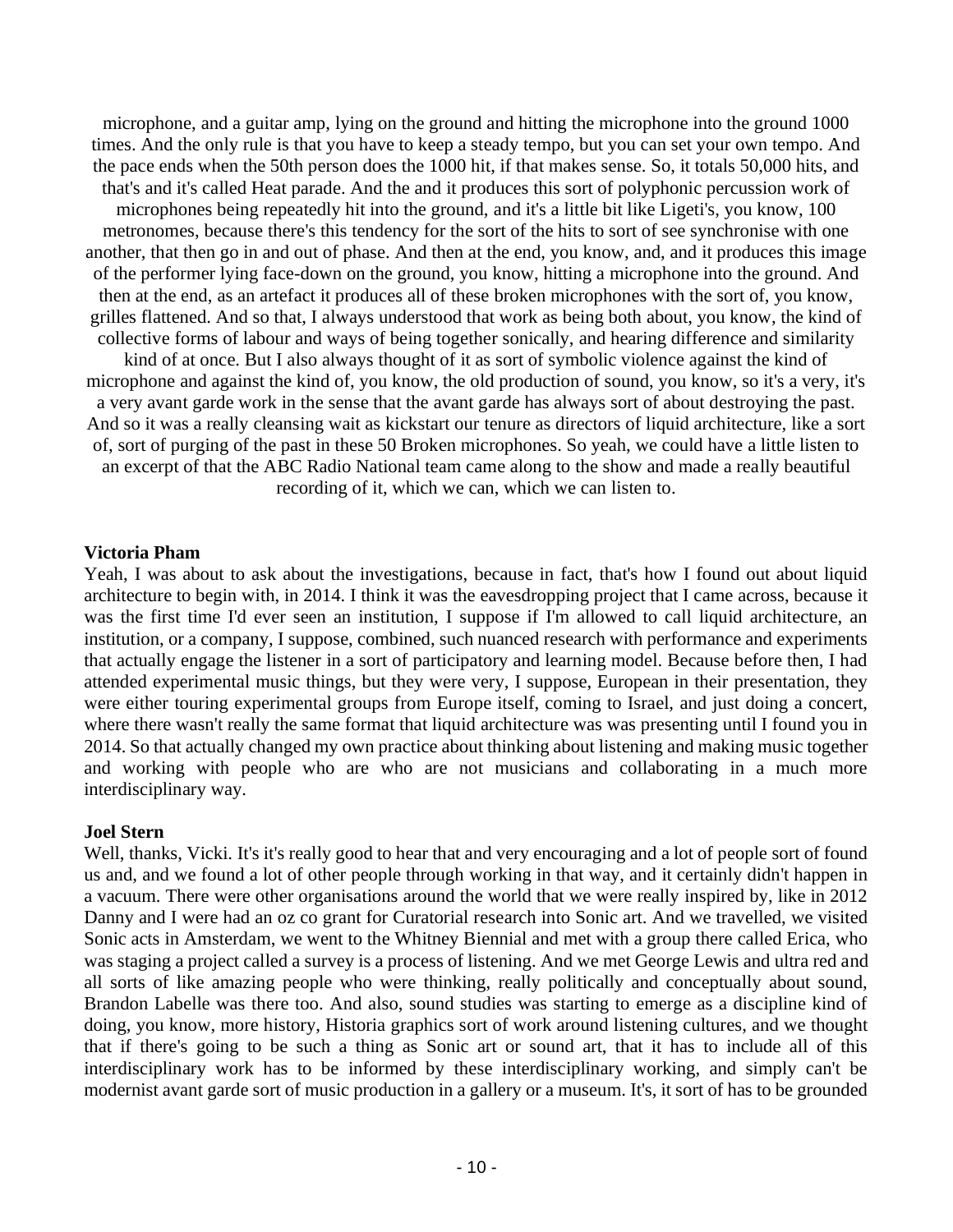microphone, and a guitar amp, lying on the ground and hitting the microphone into the ground 1000 times. And the only rule is that you have to keep a steady tempo, but you can set your own tempo. And the pace ends when the 50th person does the 1000 hit, if that makes sense. So, it totals 50,000 hits, and that's and it's called Heat parade. And the and it produces this sort of polyphonic percussion work of microphones being repeatedly hit into the ground, and it's a little bit like Ligeti's, you know, 100 metronomes, because there's this tendency for the sort of the hits to sort of see synchronise with one another, that then go in and out of phase. And then at the end, you know, and, and it produces this image of the performer lying face-down on the ground, you know, hitting a microphone into the ground. And then at the end, as an artefact it produces all of these broken microphones with the sort of, you know, grilles flattened. And so that, I always understood that work as being both about, you know, the kind of collective forms of labour and ways of being together sonically, and hearing difference and similarity kind of at once. But I also always thought of it as sort of symbolic violence against the kind of microphone and against the kind of, you know, the old production of sound, you know, so it's a very, it's a very avant garde work in the sense that the avant garde has always sort of about destroying the past. And so it was a really cleansing wait as kickstart our tenure as directors of liquid architecture, like a sort of, sort of purging of the past in these 50 Broken microphones. So yeah, we could have a little listen to an excerpt of that the ABC Radio National team came along to the show and made a really beautiful recording of it, which we can, which we can listen to.

## **Victoria Pham**

Yeah, I was about to ask about the investigations, because in fact, that's how I found out about liquid architecture to begin with, in 2014. I think it was the eavesdropping project that I came across, because it was the first time I'd ever seen an institution, I suppose if I'm allowed to call liquid architecture, an institution, or a company, I suppose, combined, such nuanced research with performance and experiments that actually engage the listener in a sort of participatory and learning model. Because before then, I had attended experimental music things, but they were very, I suppose, European in their presentation, they were either touring experimental groups from Europe itself, coming to Israel, and just doing a concert, where there wasn't really the same format that liquid architecture was was presenting until I found you in 2014. So that actually changed my own practice about thinking about listening and making music together and working with people who are who are not musicians and collaborating in a much more interdisciplinary way.

#### **Joel Stern**

Well, thanks, Vicki. It's it's really good to hear that and very encouraging and a lot of people sort of found us and, and we found a lot of other people through working in that way, and it certainly didn't happen in a vacuum. There were other organisations around the world that we were really inspired by, like in 2012 Danny and I were had an oz co grant for Curatorial research into Sonic art. And we travelled, we visited Sonic acts in Amsterdam, we went to the Whitney Biennial and met with a group there called Erica, who was staging a project called a survey is a process of listening. And we met George Lewis and ultra red and all sorts of like amazing people who were thinking, really politically and conceptually about sound, Brandon Labelle was there too. And also, sound studies was starting to emerge as a discipline kind of doing, you know, more history, Historia graphics sort of work around listening cultures, and we thought that if there's going to be such a thing as Sonic art or sound art, that it has to include all of this interdisciplinary work has to be informed by these interdisciplinary working, and simply can't be modernist avant garde sort of music production in a gallery or a museum. It's, it sort of has to be grounded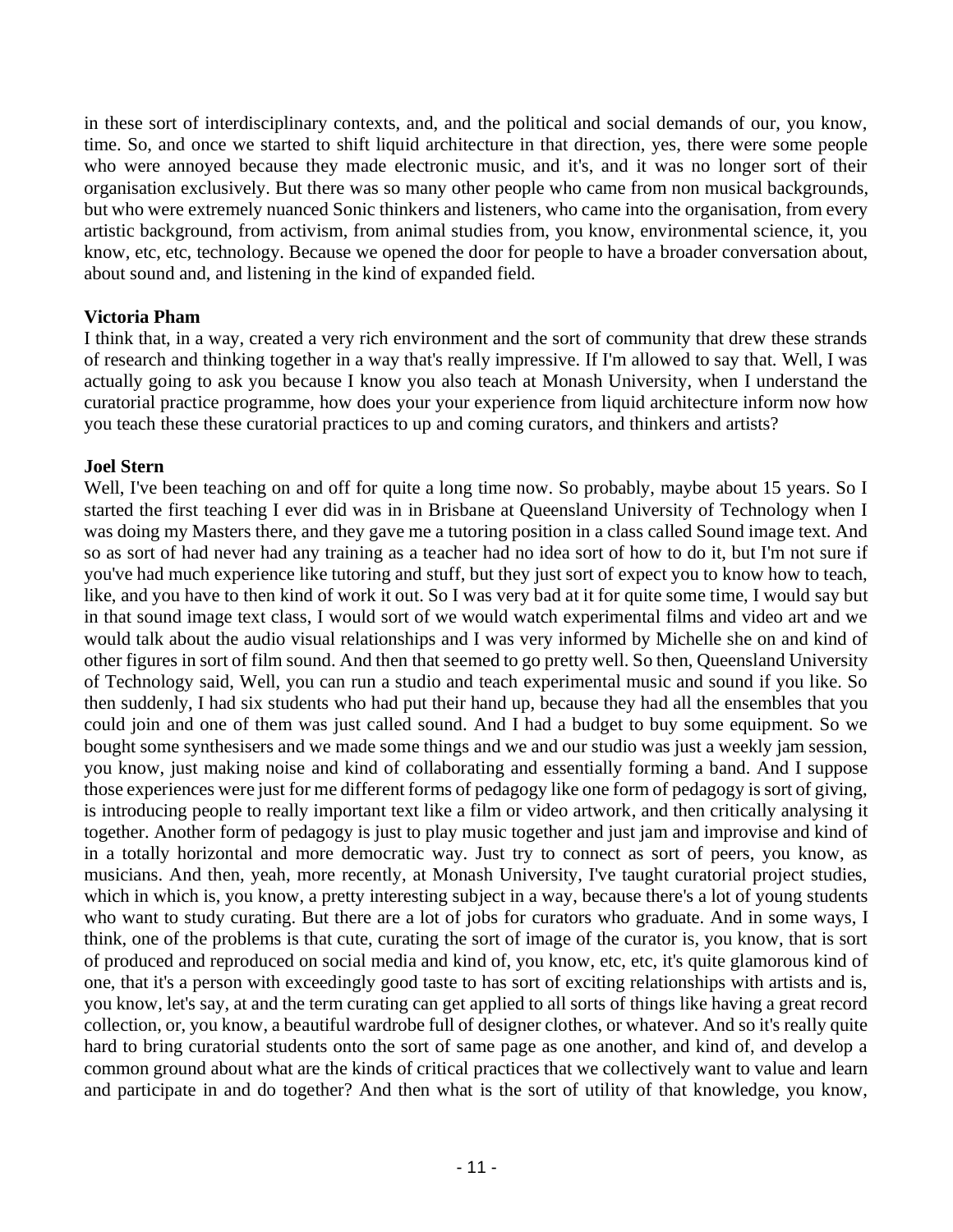in these sort of interdisciplinary contexts, and, and the political and social demands of our, you know, time. So, and once we started to shift liquid architecture in that direction, yes, there were some people who were annoyed because they made electronic music, and it's, and it was no longer sort of their organisation exclusively. But there was so many other people who came from non musical backgrounds, but who were extremely nuanced Sonic thinkers and listeners, who came into the organisation, from every artistic background, from activism, from animal studies from, you know, environmental science, it, you know, etc, etc, technology. Because we opened the door for people to have a broader conversation about, about sound and, and listening in the kind of expanded field.

## **Victoria Pham**

I think that, in a way, created a very rich environment and the sort of community that drew these strands of research and thinking together in a way that's really impressive. If I'm allowed to say that. Well, I was actually going to ask you because I know you also teach at Monash University, when I understand the curatorial practice programme, how does your your experience from liquid architecture inform now how you teach these these curatorial practices to up and coming curators, and thinkers and artists?

## **Joel Stern**

Well, I've been teaching on and off for quite a long time now. So probably, maybe about 15 years. So I started the first teaching I ever did was in in Brisbane at Queensland University of Technology when I was doing my Masters there, and they gave me a tutoring position in a class called Sound image text. And so as sort of had never had any training as a teacher had no idea sort of how to do it, but I'm not sure if you've had much experience like tutoring and stuff, but they just sort of expect you to know how to teach, like, and you have to then kind of work it out. So I was very bad at it for quite some time, I would say but in that sound image text class, I would sort of we would watch experimental films and video art and we would talk about the audio visual relationships and I was very informed by Michelle she on and kind of other figures in sort of film sound. And then that seemed to go pretty well. So then, Queensland University of Technology said, Well, you can run a studio and teach experimental music and sound if you like. So then suddenly, I had six students who had put their hand up, because they had all the ensembles that you could join and one of them was just called sound. And I had a budget to buy some equipment. So we bought some synthesisers and we made some things and we and our studio was just a weekly jam session, you know, just making noise and kind of collaborating and essentially forming a band. And I suppose those experiences were just for me different forms of pedagogy like one form of pedagogy is sort of giving, is introducing people to really important text like a film or video artwork, and then critically analysing it together. Another form of pedagogy is just to play music together and just jam and improvise and kind of in a totally horizontal and more democratic way. Just try to connect as sort of peers, you know, as musicians. And then, yeah, more recently, at Monash University, I've taught curatorial project studies, which in which is, you know, a pretty interesting subject in a way, because there's a lot of young students who want to study curating. But there are a lot of jobs for curators who graduate. And in some ways, I think, one of the problems is that cute, curating the sort of image of the curator is, you know, that is sort of produced and reproduced on social media and kind of, you know, etc, etc, it's quite glamorous kind of one, that it's a person with exceedingly good taste to has sort of exciting relationships with artists and is, you know, let's say, at and the term curating can get applied to all sorts of things like having a great record collection, or, you know, a beautiful wardrobe full of designer clothes, or whatever. And so it's really quite hard to bring curatorial students onto the sort of same page as one another, and kind of, and develop a common ground about what are the kinds of critical practices that we collectively want to value and learn and participate in and do together? And then what is the sort of utility of that knowledge, you know,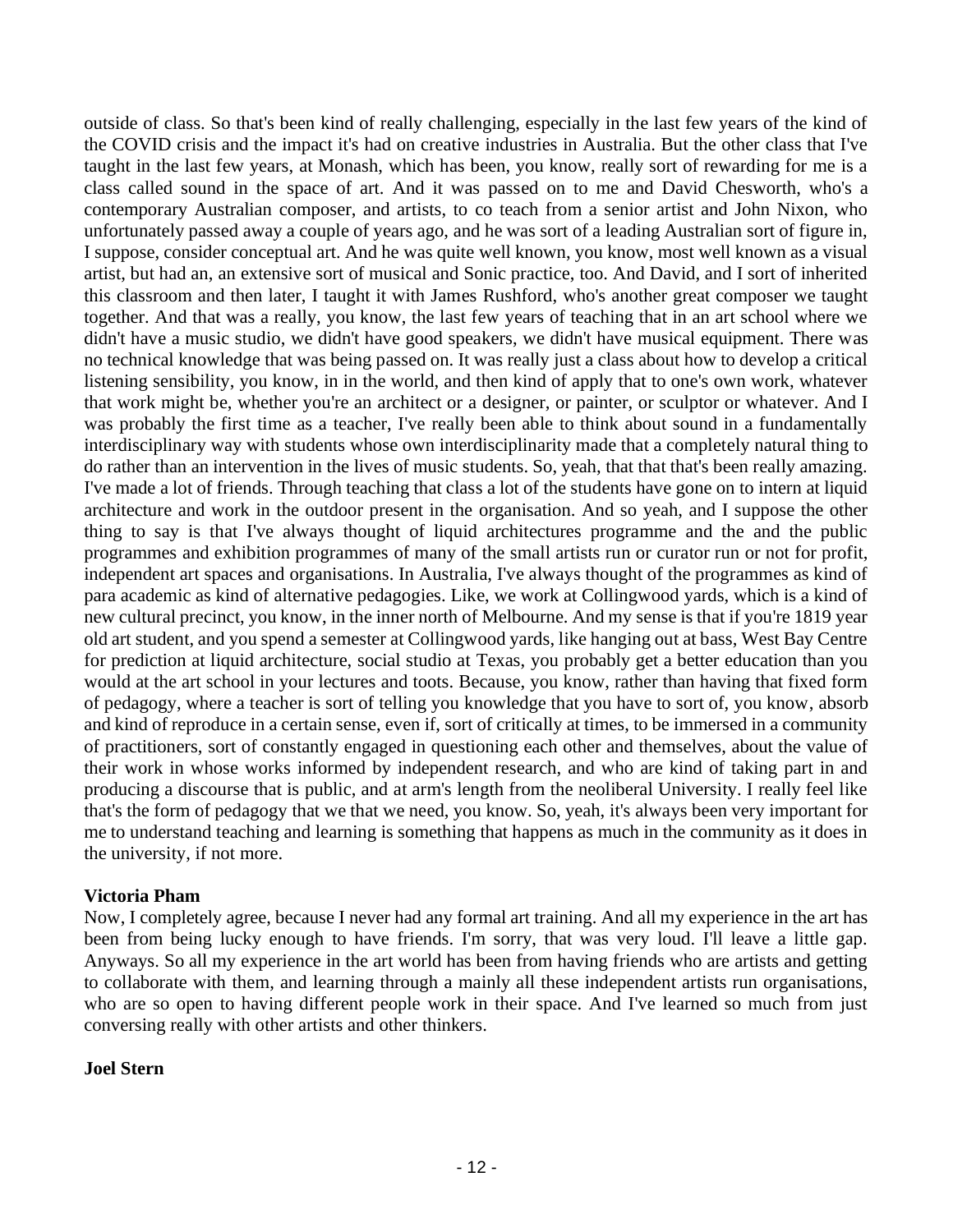outside of class. So that's been kind of really challenging, especially in the last few years of the kind of the COVID crisis and the impact it's had on creative industries in Australia. But the other class that I've taught in the last few years, at Monash, which has been, you know, really sort of rewarding for me is a class called sound in the space of art. And it was passed on to me and David Chesworth, who's a contemporary Australian composer, and artists, to co teach from a senior artist and John Nixon, who unfortunately passed away a couple of years ago, and he was sort of a leading Australian sort of figure in, I suppose, consider conceptual art. And he was quite well known, you know, most well known as a visual artist, but had an, an extensive sort of musical and Sonic practice, too. And David, and I sort of inherited this classroom and then later, I taught it with James Rushford, who's another great composer we taught together. And that was a really, you know, the last few years of teaching that in an art school where we didn't have a music studio, we didn't have good speakers, we didn't have musical equipment. There was no technical knowledge that was being passed on. It was really just a class about how to develop a critical listening sensibility, you know, in in the world, and then kind of apply that to one's own work, whatever that work might be, whether you're an architect or a designer, or painter, or sculptor or whatever. And I was probably the first time as a teacher, I've really been able to think about sound in a fundamentally interdisciplinary way with students whose own interdisciplinarity made that a completely natural thing to do rather than an intervention in the lives of music students. So, yeah, that that that's been really amazing. I've made a lot of friends. Through teaching that class a lot of the students have gone on to intern at liquid architecture and work in the outdoor present in the organisation. And so yeah, and I suppose the other thing to say is that I've always thought of liquid architectures programme and the and the public programmes and exhibition programmes of many of the small artists run or curator run or not for profit, independent art spaces and organisations. In Australia, I've always thought of the programmes as kind of para academic as kind of alternative pedagogies. Like, we work at Collingwood yards, which is a kind of new cultural precinct, you know, in the inner north of Melbourne. And my sense is that if you're 1819 year old art student, and you spend a semester at Collingwood yards, like hanging out at bass, West Bay Centre for prediction at liquid architecture, social studio at Texas, you probably get a better education than you would at the art school in your lectures and toots. Because, you know, rather than having that fixed form of pedagogy, where a teacher is sort of telling you knowledge that you have to sort of, you know, absorb and kind of reproduce in a certain sense, even if, sort of critically at times, to be immersed in a community of practitioners, sort of constantly engaged in questioning each other and themselves, about the value of their work in whose works informed by independent research, and who are kind of taking part in and producing a discourse that is public, and at arm's length from the neoliberal University. I really feel like that's the form of pedagogy that we that we need, you know. So, yeah, it's always been very important for me to understand teaching and learning is something that happens as much in the community as it does in the university, if not more.

#### **Victoria Pham**

Now, I completely agree, because I never had any formal art training. And all my experience in the art has been from being lucky enough to have friends. I'm sorry, that was very loud. I'll leave a little gap. Anyways. So all my experience in the art world has been from having friends who are artists and getting to collaborate with them, and learning through a mainly all these independent artists run organisations, who are so open to having different people work in their space. And I've learned so much from just conversing really with other artists and other thinkers.

#### **Joel Stern**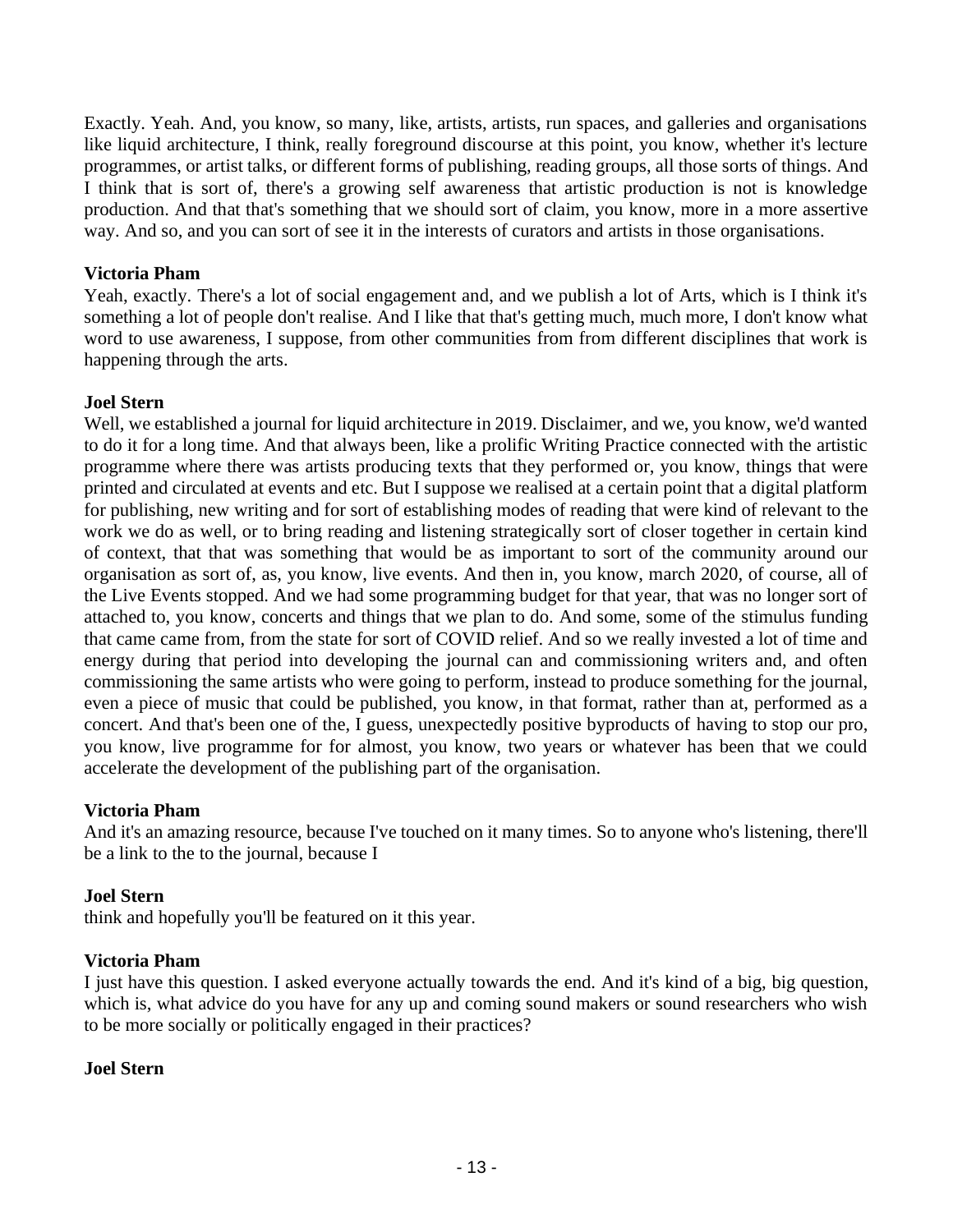Exactly. Yeah. And, you know, so many, like, artists, artists, run spaces, and galleries and organisations like liquid architecture, I think, really foreground discourse at this point, you know, whether it's lecture programmes, or artist talks, or different forms of publishing, reading groups, all those sorts of things. And I think that is sort of, there's a growing self awareness that artistic production is not is knowledge production. And that that's something that we should sort of claim, you know, more in a more assertive way. And so, and you can sort of see it in the interests of curators and artists in those organisations.

## **Victoria Pham**

Yeah, exactly. There's a lot of social engagement and, and we publish a lot of Arts, which is I think it's something a lot of people don't realise. And I like that that's getting much, much more, I don't know what word to use awareness, I suppose, from other communities from from different disciplines that work is happening through the arts.

## **Joel Stern**

Well, we established a journal for liquid architecture in 2019. Disclaimer, and we, you know, we'd wanted to do it for a long time. And that always been, like a prolific Writing Practice connected with the artistic programme where there was artists producing texts that they performed or, you know, things that were printed and circulated at events and etc. But I suppose we realised at a certain point that a digital platform for publishing, new writing and for sort of establishing modes of reading that were kind of relevant to the work we do as well, or to bring reading and listening strategically sort of closer together in certain kind of context, that that was something that would be as important to sort of the community around our organisation as sort of, as, you know, live events. And then in, you know, march 2020, of course, all of the Live Events stopped. And we had some programming budget for that year, that was no longer sort of attached to, you know, concerts and things that we plan to do. And some, some of the stimulus funding that came came from, from the state for sort of COVID relief. And so we really invested a lot of time and energy during that period into developing the journal can and commissioning writers and, and often commissioning the same artists who were going to perform, instead to produce something for the journal, even a piece of music that could be published, you know, in that format, rather than at, performed as a concert. And that's been one of the, I guess, unexpectedly positive byproducts of having to stop our pro, you know, live programme for for almost, you know, two years or whatever has been that we could accelerate the development of the publishing part of the organisation.

#### **Victoria Pham**

And it's an amazing resource, because I've touched on it many times. So to anyone who's listening, there'll be a link to the to the journal, because I

#### **Joel Stern**

think and hopefully you'll be featured on it this year.

#### **Victoria Pham**

I just have this question. I asked everyone actually towards the end. And it's kind of a big, big question, which is, what advice do you have for any up and coming sound makers or sound researchers who wish to be more socially or politically engaged in their practices?

## **Joel Stern**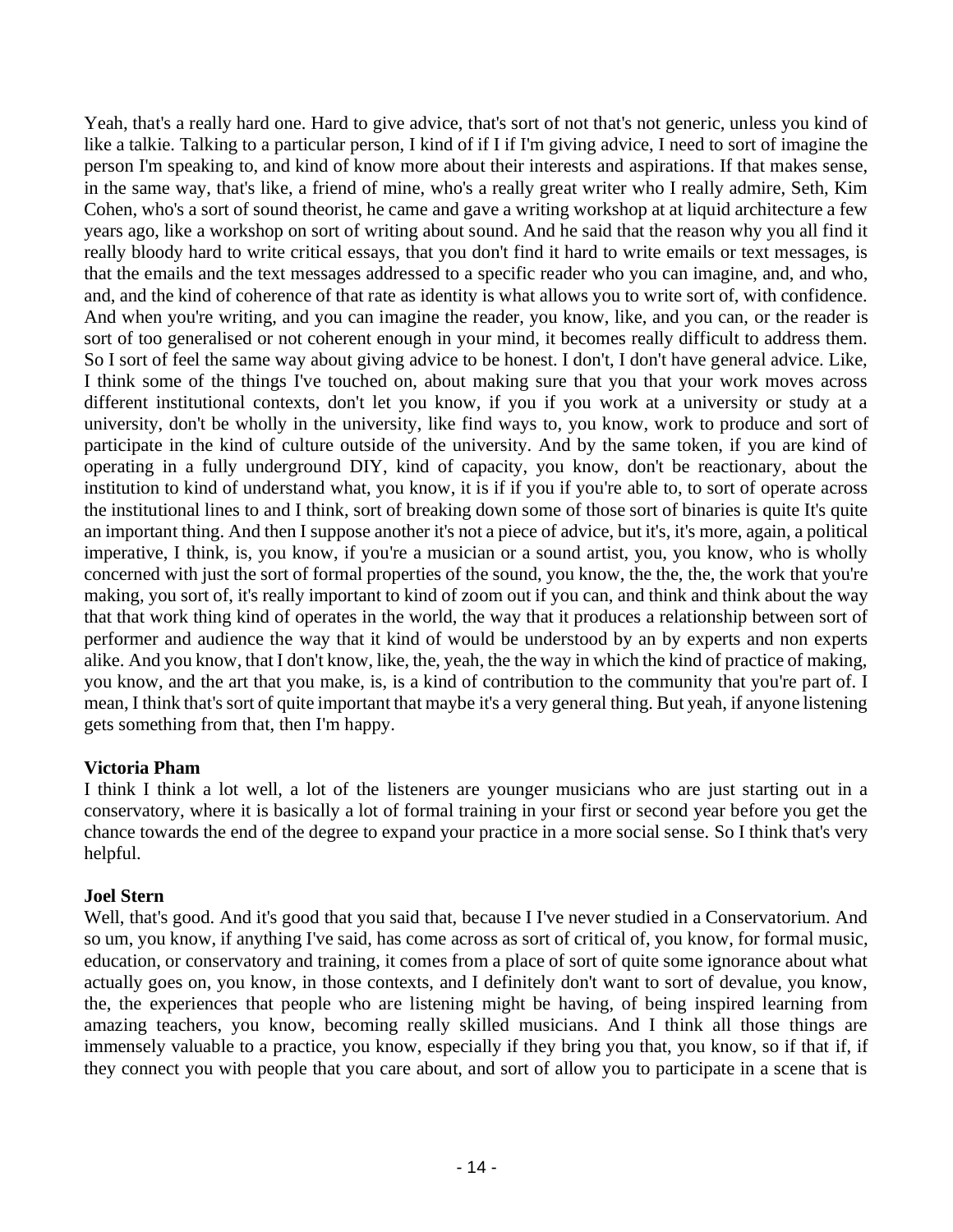Yeah, that's a really hard one. Hard to give advice, that's sort of not that's not generic, unless you kind of like a talkie. Talking to a particular person, I kind of if I if I'm giving advice, I need to sort of imagine the person I'm speaking to, and kind of know more about their interests and aspirations. If that makes sense, in the same way, that's like, a friend of mine, who's a really great writer who I really admire, Seth, Kim Cohen, who's a sort of sound theorist, he came and gave a writing workshop at at liquid architecture a few years ago, like a workshop on sort of writing about sound. And he said that the reason why you all find it really bloody hard to write critical essays, that you don't find it hard to write emails or text messages, is that the emails and the text messages addressed to a specific reader who you can imagine, and, and who, and, and the kind of coherence of that rate as identity is what allows you to write sort of, with confidence. And when you're writing, and you can imagine the reader, you know, like, and you can, or the reader is sort of too generalised or not coherent enough in your mind, it becomes really difficult to address them. So I sort of feel the same way about giving advice to be honest. I don't, I don't have general advice. Like, I think some of the things I've touched on, about making sure that you that your work moves across different institutional contexts, don't let you know, if you if you work at a university or study at a university, don't be wholly in the university, like find ways to, you know, work to produce and sort of participate in the kind of culture outside of the university. And by the same token, if you are kind of operating in a fully underground DIY, kind of capacity, you know, don't be reactionary, about the institution to kind of understand what, you know, it is if if you if you're able to, to sort of operate across the institutional lines to and I think, sort of breaking down some of those sort of binaries is quite It's quite an important thing. And then I suppose another it's not a piece of advice, but it's, it's more, again, a political imperative, I think, is, you know, if you're a musician or a sound artist, you, you know, who is wholly concerned with just the sort of formal properties of the sound, you know, the the, the, the work that you're making, you sort of, it's really important to kind of zoom out if you can, and think and think about the way that that work thing kind of operates in the world, the way that it produces a relationship between sort of performer and audience the way that it kind of would be understood by an by experts and non experts alike. And you know, that I don't know, like, the, yeah, the the way in which the kind of practice of making, you know, and the art that you make, is, is a kind of contribution to the community that you're part of. I mean, I think that's sort of quite important that maybe it's a very general thing. But yeah, if anyone listening gets something from that, then I'm happy.

#### **Victoria Pham**

I think I think a lot well, a lot of the listeners are younger musicians who are just starting out in a conservatory, where it is basically a lot of formal training in your first or second year before you get the chance towards the end of the degree to expand your practice in a more social sense. So I think that's very helpful.

## **Joel Stern**

Well, that's good. And it's good that you said that, because I I've never studied in a Conservatorium. And so um, you know, if anything I've said, has come across as sort of critical of, you know, for formal music, education, or conservatory and training, it comes from a place of sort of quite some ignorance about what actually goes on, you know, in those contexts, and I definitely don't want to sort of devalue, you know, the, the experiences that people who are listening might be having, of being inspired learning from amazing teachers, you know, becoming really skilled musicians. And I think all those things are immensely valuable to a practice, you know, especially if they bring you that, you know, so if that if, if they connect you with people that you care about, and sort of allow you to participate in a scene that is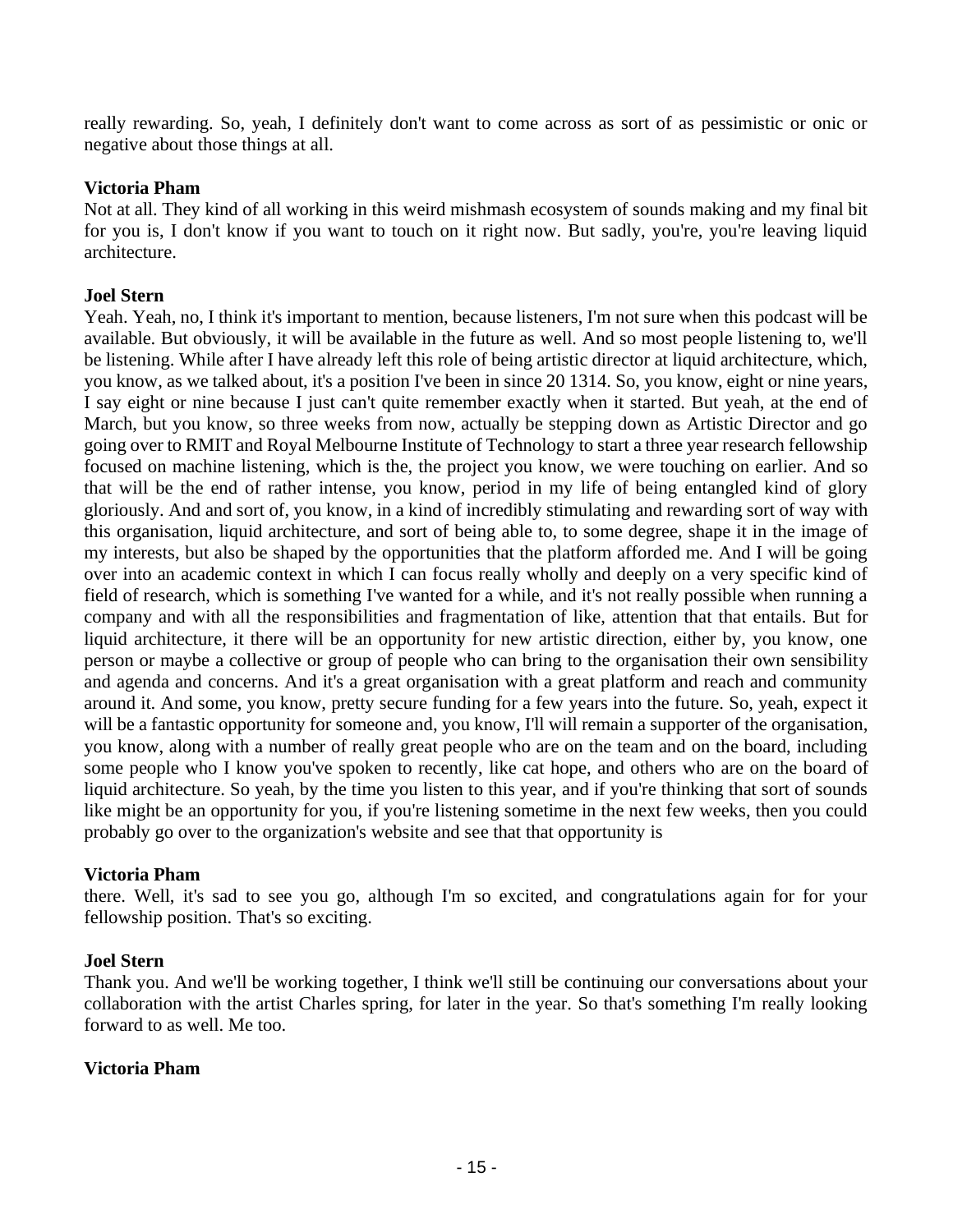really rewarding. So, yeah, I definitely don't want to come across as sort of as pessimistic or onic or negative about those things at all.

### **Victoria Pham**

Not at all. They kind of all working in this weird mishmash ecosystem of sounds making and my final bit for you is, I don't know if you want to touch on it right now. But sadly, you're, you're leaving liquid architecture.

## **Joel Stern**

Yeah. Yeah, no, I think it's important to mention, because listeners, I'm not sure when this podcast will be available. But obviously, it will be available in the future as well. And so most people listening to, we'll be listening. While after I have already left this role of being artistic director at liquid architecture, which, you know, as we talked about, it's a position I've been in since 20 1314. So, you know, eight or nine years, I say eight or nine because I just can't quite remember exactly when it started. But yeah, at the end of March, but you know, so three weeks from now, actually be stepping down as Artistic Director and go going over to RMIT and Royal Melbourne Institute of Technology to start a three year research fellowship focused on machine listening, which is the, the project you know, we were touching on earlier. And so that will be the end of rather intense, you know, period in my life of being entangled kind of glory gloriously. And and sort of, you know, in a kind of incredibly stimulating and rewarding sort of way with this organisation, liquid architecture, and sort of being able to, to some degree, shape it in the image of my interests, but also be shaped by the opportunities that the platform afforded me. And I will be going over into an academic context in which I can focus really wholly and deeply on a very specific kind of field of research, which is something I've wanted for a while, and it's not really possible when running a company and with all the responsibilities and fragmentation of like, attention that that entails. But for liquid architecture, it there will be an opportunity for new artistic direction, either by, you know, one person or maybe a collective or group of people who can bring to the organisation their own sensibility and agenda and concerns. And it's a great organisation with a great platform and reach and community around it. And some, you know, pretty secure funding for a few years into the future. So, yeah, expect it will be a fantastic opportunity for someone and, you know, I'll will remain a supporter of the organisation, you know, along with a number of really great people who are on the team and on the board, including some people who I know you've spoken to recently, like cat hope, and others who are on the board of liquid architecture. So yeah, by the time you listen to this year, and if you're thinking that sort of sounds like might be an opportunity for you, if you're listening sometime in the next few weeks, then you could probably go over to the organization's website and see that that opportunity is

#### **Victoria Pham**

there. Well, it's sad to see you go, although I'm so excited, and congratulations again for for your fellowship position. That's so exciting.

#### **Joel Stern**

Thank you. And we'll be working together, I think we'll still be continuing our conversations about your collaboration with the artist Charles spring, for later in the year. So that's something I'm really looking forward to as well. Me too.

#### **Victoria Pham**